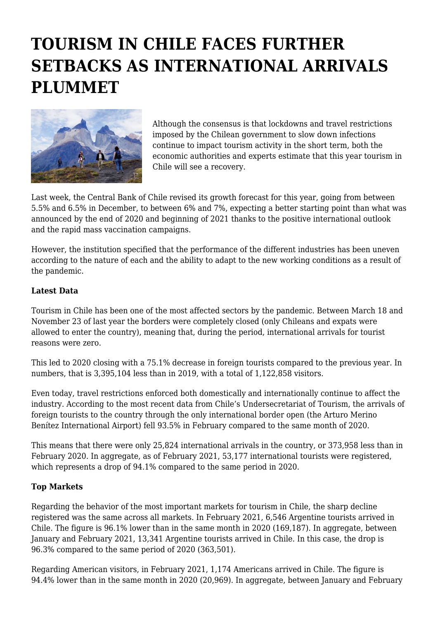# **TOURISM IN CHILE FACES FURTHER SETBACKS AS INTERNATIONAL ARRIVALS PLUMMET**



Although the consensus is that lockdowns and travel restrictions imposed by the Chilean government to slow down infections continue to impact tourism activity in the short term, both the economic authorities and experts estimate that this year tourism in Chile will see a recovery.

Last week, the Central Bank of Chile revised its growth forecast for this year, going from between 5.5% and 6.5% in December, to between 6% and 7%, expecting a better starting point than what was announced by the end of 2020 and beginning of 2021 thanks to the positive international outlook and the rapid mass vaccination campaigns.

However, the institution specified that the performance of the different industries has been uneven according to the nature of each and the ability to adapt to the new working conditions as a result of the pandemic.

# **Latest Data**

Tourism in Chile has been one of the most affected sectors by the pandemic. Between March 18 and November 23 of last year the borders were completely closed (only Chileans and expats were allowed to enter the country), meaning that, during the period, international arrivals for tourist reasons were zero.

This led to 2020 closing with a 75.1% decrease in foreign tourists compared to the previous year. In numbers, that is 3,395,104 less than in 2019, with a total of 1,122,858 visitors.

Even today, travel restrictions enforced both domestically and internationally continue to affect the industry. According to the most recent data from Chile's Undersecretariat of Tourism, the arrivals of foreign tourists to the country through the only international border open (the Arturo Merino Benítez International Airport) fell 93.5% in February compared to the same month of 2020.

This means that there were only 25,824 international arrivals in the country, or 373,958 less than in February 2020. In aggregate, as of February 2021, 53,177 international tourists were registered, which represents a drop of 94.1% compared to the same period in 2020.

### **Top Markets**

Regarding the behavior of the most important markets for tourism in Chile, the sharp decline registered was the same across all markets. In February 2021, 6,546 Argentine tourists arrived in Chile. The figure is 96.1% lower than in the same month in 2020 (169,187). In aggregate, between January and February 2021, 13,341 Argentine tourists arrived in Chile. In this case, the drop is 96.3% compared to the same period of 2020 (363,501).

Regarding American visitors, in February 2021, 1,174 Americans arrived in Chile. The figure is 94.4% lower than in the same month in 2020 (20,969). In aggregate, between January and February